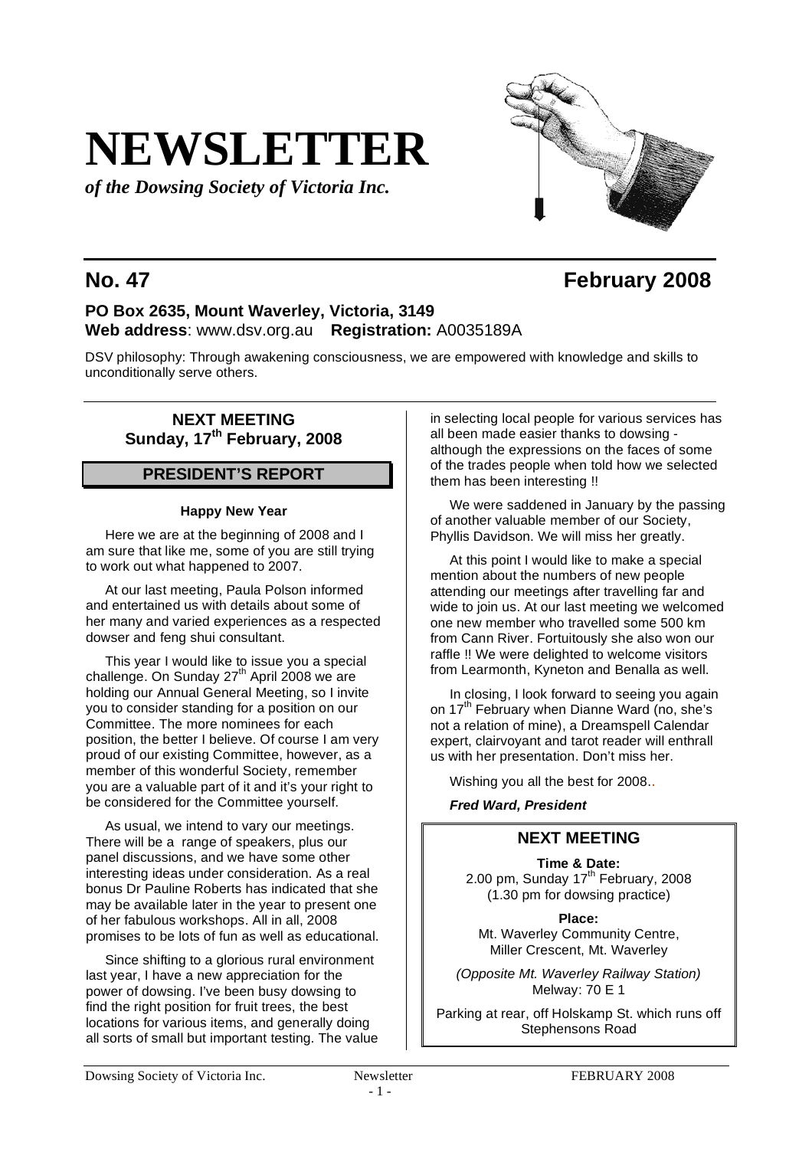# **NEWSLETTER**

*of the Dowsing Society of Victoria Inc.*

## **No. 47 February 2008**

## **PO Box 2635, Mount Waverley, Victoria, 3149 Web address**: www.dsv.org.au **Registration:** A0035189A

DSV philosophy: Through awakening consciousness, we are empowered with knowledge and skills to unconditionally serve others.

## **NEXT MEETING Sunday, 17th February, 2008**

## **PRESIDENT'S REPORT**

#### **Happy New Year**

Here we are at the beginning of 2008 and I am sure that like me, some of you are still trying to work out what happened to 2007.

At our last meeting, Paula Polson informed and entertained us with details about some of her many and varied experiences as a respected dowser and feng shui consultant.

This year I would like to issue you a special challenge. On Sunday 27<sup>th</sup> April 2008 we are holding our Annual General Meeting, so I invite you to consider standing for a position on our Committee. The more nominees for each position, the better I believe. Of course I am very proud of our existing Committee, however, as a member of this wonderful Society, remember you are a valuable part of it and it's your right to be considered for the Committee yourself.

As usual, we intend to vary our meetings. There will be a range of speakers, plus our panel discussions, and we have some other interesting ideas under consideration. As a real bonus Dr Pauline Roberts has indicated that she may be available later in the year to present one of her fabulous workshops. All in all, 2008 promises to be lots of fun as well as educational.

Since shifting to a glorious rural environment last year, I have a new appreciation for the power of dowsing. I've been busy dowsing to find the right position for fruit trees, the best locations for various items, and generally doing all sorts of small but important testing. The value

in selecting local people for various services has all been made easier thanks to dowsing although the expressions on the faces of some of the trades people when told how we selected them has been interesting !!

We were saddened in January by the passing of another valuable member of our Society, Phyllis Davidson. We will miss her greatly.

At this point I would like to make a special mention about the numbers of new people attending our meetings after travelling far and wide to join us. At our last meeting we welcomed one new member who travelled some 500 km from Cann River. Fortuitously she also won our raffle !! We were delighted to welcome visitors from Learmonth, Kyneton and Benalla as well.

In closing, I look forward to seeing you again on 17<sup>th</sup> February when Dianne Ward (no, she's not a relation of mine), a Dreamspell Calendar expert, clairvoyant and tarot reader will enthrall us with her presentation. Don't miss her.

Wishing you all the best for 2008..

*Fred Ward, President*

## **NEXT MEETING**

**Time & Date:** 2.00 pm, Sunday  $17<sup>th</sup>$  February, 2008 (1.30 pm for dowsing practice)

**Place:** Mt. Waverley Community Centre, Miller Crescent, Mt. Waverley

*(Opposite Mt. Waverley Railway Station)* Melway: 70 E 1

Parking at rear, off Holskamp St. which runs off Stephensons Road

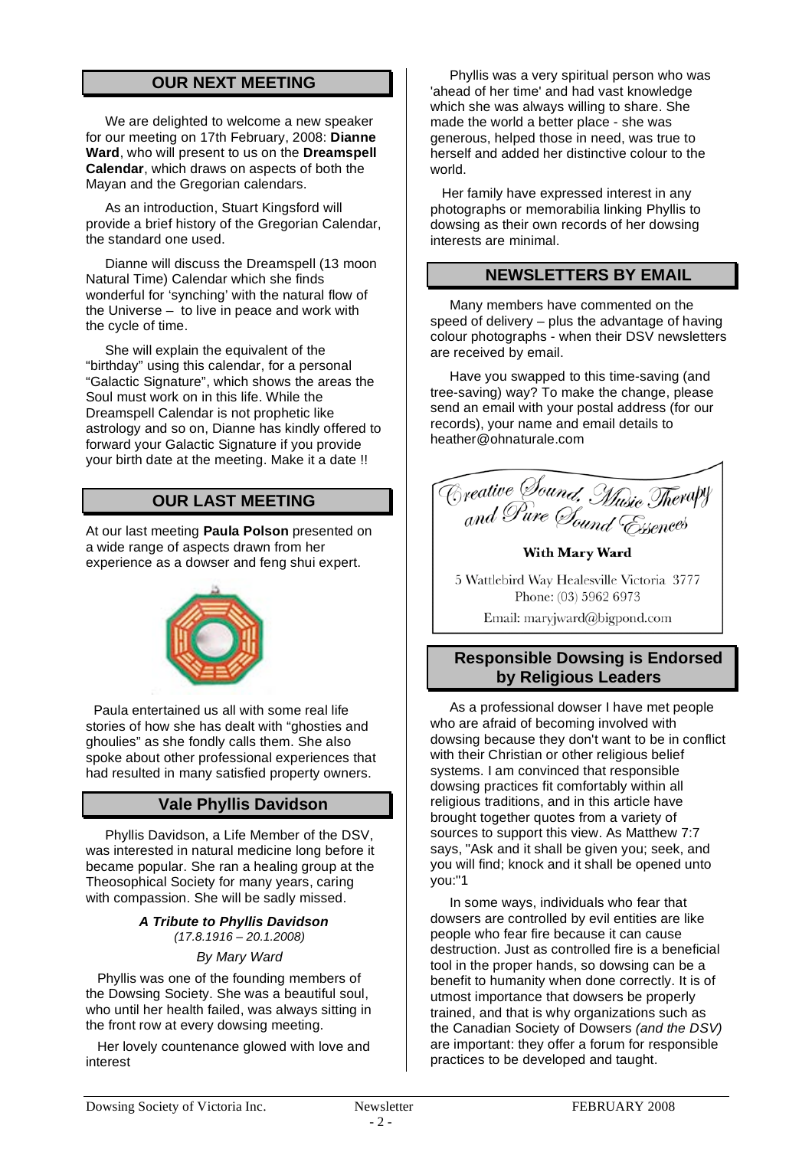## **OUR NEXT MEETING**

We are delighted to welcome a new speaker for our meeting on 17th February, 2008: **Dianne Ward**, who will present to us on the **Dreamspell Calendar**, which draws on aspects of both the Mayan and the Gregorian calendars.

As an introduction, Stuart Kingsford will provide a brief history of the Gregorian Calendar, the standard one used.

Dianne will discuss the Dreamspell (13 moon Natural Time) Calendar which she finds wonderful for 'synching' with the natural flow of the Universe – to live in peace and work with the cycle of time.

She will explain the equivalent of the "birthday" using this calendar, for a personal "Galactic Signature", which shows the areas the Soul must work on in this life. While the Dreamspell Calendar is not prophetic like astrology and so on, Dianne has kindly offered to forward your Galactic Signature if you provide your birth date at the meeting. Make it a date !!

## **OUR LAST MEETING**

At our last meeting **Paula Polson** presented on a wide range of aspects drawn from her experience as a dowser and feng shui expert.



Paula entertained us all with some real life stories of how she has dealt with "ghosties and ghoulies" as she fondly calls them. She also spoke about other professional experiences that had resulted in many satisfied property owners.

## **Vale Phyllis Davidson**

Phyllis Davidson, a Life Member of the DSV, was interested in natural medicine long before it became popular. She ran a healing group at the Theosophical Society for many years, caring with compassion. She will be sadly missed.

> *A Tribute to Phyllis Davidson (17.8.1916 – 20.1.2008)*

#### *By Mary Ward*

Phyllis was one of the founding members of the Dowsing Society. She was a beautiful soul, who until her health failed, was always sitting in the front row at every dowsing meeting.

Her lovely countenance glowed with love and interest

Phyllis was a very spiritual person who was 'ahead of her time' and had vast knowledge which she was always willing to share. She made the world a better place - she was generous, helped those in need, was true to herself and added her distinctive colour to the world.

Her family have expressed interest in any photographs or memorabilia linking Phyllis to dowsing as their own records of her dowsing interests are minimal.

## **NEWSLETTERS BY EMAIL**

Many members have commented on the speed of delivery – plus the advantage of having colour photographs - when their DSV newsletters are received by email.

Have you swapped to this time-saving (and tree-saving) way? To make the change, please send an email with your postal address (for our records), your name and email details to heather@ohnaturale.com

| Greative Sound, Music Therapy              |
|--------------------------------------------|
|                                            |
| <sub>and</sub> Pure <i>Sound Esse</i> nces |
|                                            |

**With Mary Ward** 

5 Wattlebird Way Healesville Victoria 3777 Phone: (03) 5962 6973

Email: maryjward@bigpond.com

## **Responsible Dowsing is Endorsed by Religious Leaders**

As a professional dowser I have met people who are afraid of becoming involved with dowsing because they don't want to be in conflict with their Christian or other religious belief systems. I am convinced that responsible dowsing practices fit comfortably within all religious traditions, and in this article have brought together quotes from a variety of sources to support this view. As Matthew 7:7 says, "Ask and it shall be given you; seek, and you will find; knock and it shall be opened unto you:"1

In some ways, individuals who fear that dowsers are controlled by evil entities are like people who fear fire because it can cause destruction. Just as controlled fire is a beneficial tool in the proper hands, so dowsing can be a benefit to humanity when done correctly. It is of utmost importance that dowsers be properly trained, and that is why organizations such as the Canadian Society of Dowsers *(and the DSV)* are important: they offer a forum for responsible practices to be developed and taught.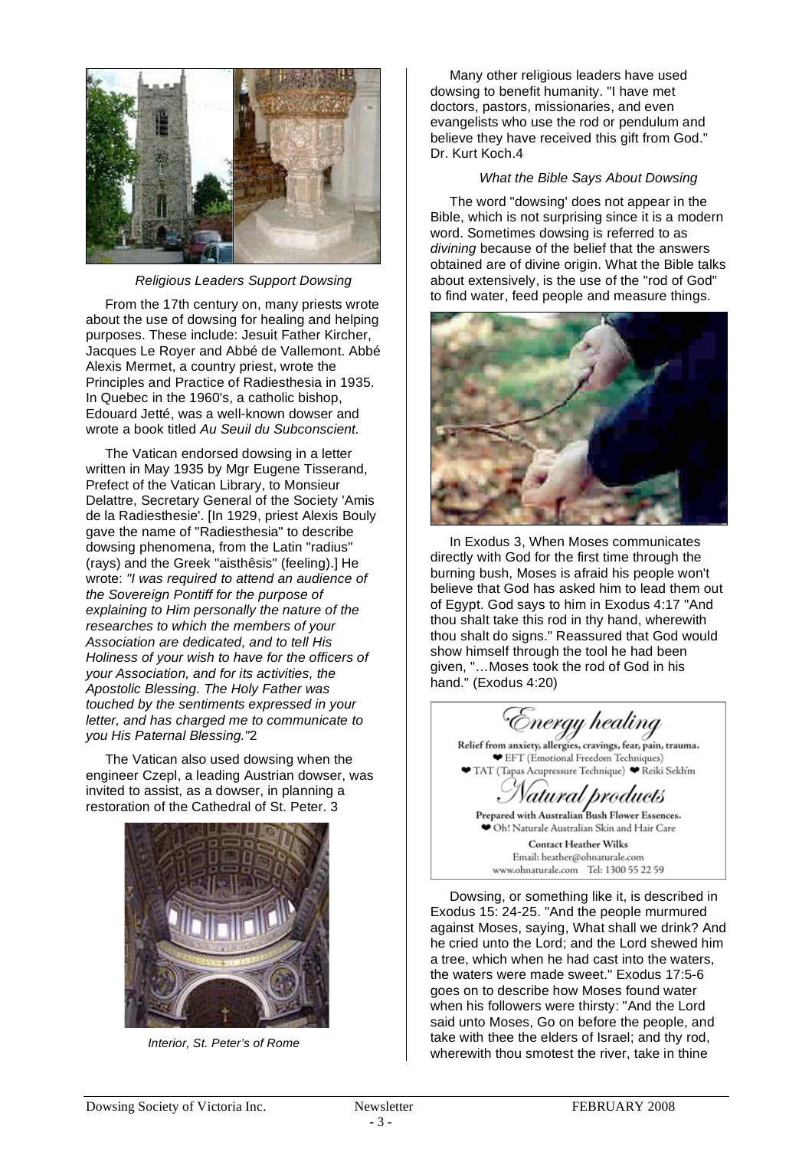

*Religious Leaders Support Dowsing*

From the 17th century on, many priests wrote about the use of dowsing for healing and helping purposes. These include: Jesuit Father Kircher, Jacques Le Royer and Abbé de Vallemont. Abbé Alexis Mermet, a country priest, wrote the Principles and Practice of Radiesthesia in 1935. In Quebec in the 1960's, a catholic bishop, Edouard Jetté, was a well-known dowser and wrote a book titled *Au Seuil du Subconscient.*

The Vatican endorsed dowsing in a letter written in May 1935 by Mgr Eugene Tisserand, Prefect of the Vatican Library, to Monsieur Delattre, Secretary General of the Society 'Amis de la Radiesthesie'. [In 1929, priest Alexis Bouly gave the name of "Radiesthesia" to describe dowsing phenomena, from the Latin "radius" (rays) and the Greek "aisthêsis" (feeling).] He wrote: *"I was required to attend an audience of the Sovereign Pontiff for the purpose of explaining to Him personally the nature of the researches to which the members of your Association are dedicated, and to tell His Holiness of your wish to have for the officers of your Association, and for its activities, the Apostolic Blessing. The Holy Father was touched by the sentiments expressed in your letter, and has charged me to communicate to you His Paternal Blessing."*2

The Vatican also used dowsing when the engineer Czepl, a leading Austrian dowser, was invited to assist, as a dowser, in planning a restoration of the Cathedral of St. Peter. 3



 *Interior, St. Peter's of Rome*

Many other religious leaders have used dowsing to benefit humanity. "I have met doctors, pastors, missionaries, and even evangelists who use the rod or pendulum and believe they have received this gift from God." Dr. Kurt Koch.4

#### *What the Bible Says About Dowsing*

The word "dowsing' does not appear in the Bible, which is not surprising since it is a modern word. Sometimes dowsing is referred to as *divining* because of the belief that the answers obtained are of divine origin. What the Bible talks about extensively, is the use of the "rod of God" to find water, feed people and measure things.



In Exodus 3, When Moses communicates directly with God for the first time through the burning bush, Moses is afraid his people won't believe that God has asked him to lead them out of Egypt. God says to him in Exodus 4:17 "And thou shalt take this rod in thy hand, wherewith thou shalt do signs." Reassured that God would show himself through the tool he had been given, "…Moses took the rod of God in his hand." (Exodus 4:20)

Energy healing

Relief from anxiety, allergies, cravings, fear, pain, trauma. EFT (Emotional Freedom Techniques) TAT (Tapas Acupressure Technique) ♥ Reiki Sekh'm

Prepared with Australian Bush Flower Essences. Oh! Naturale Australian Skin and Hair Care

**Contact Heather Wilks** Email: heather@ohnaturale.com www.ohnaturale.com Tel: 1300 55 22 59

Dowsing, or something like it, is described in Exodus 15: 24-25. "And the people murmured against Moses, saying, What shall we drink? And he cried unto the Lord; and the Lord shewed him a tree, which when he had cast into the waters, the waters were made sweet." Exodus 17:5-6 goes on to describe how Moses found water when his followers were thirsty: "And the Lord said unto Moses, Go on before the people, and take with thee the elders of Israel; and thy rod, wherewith thou smotest the river, take in thine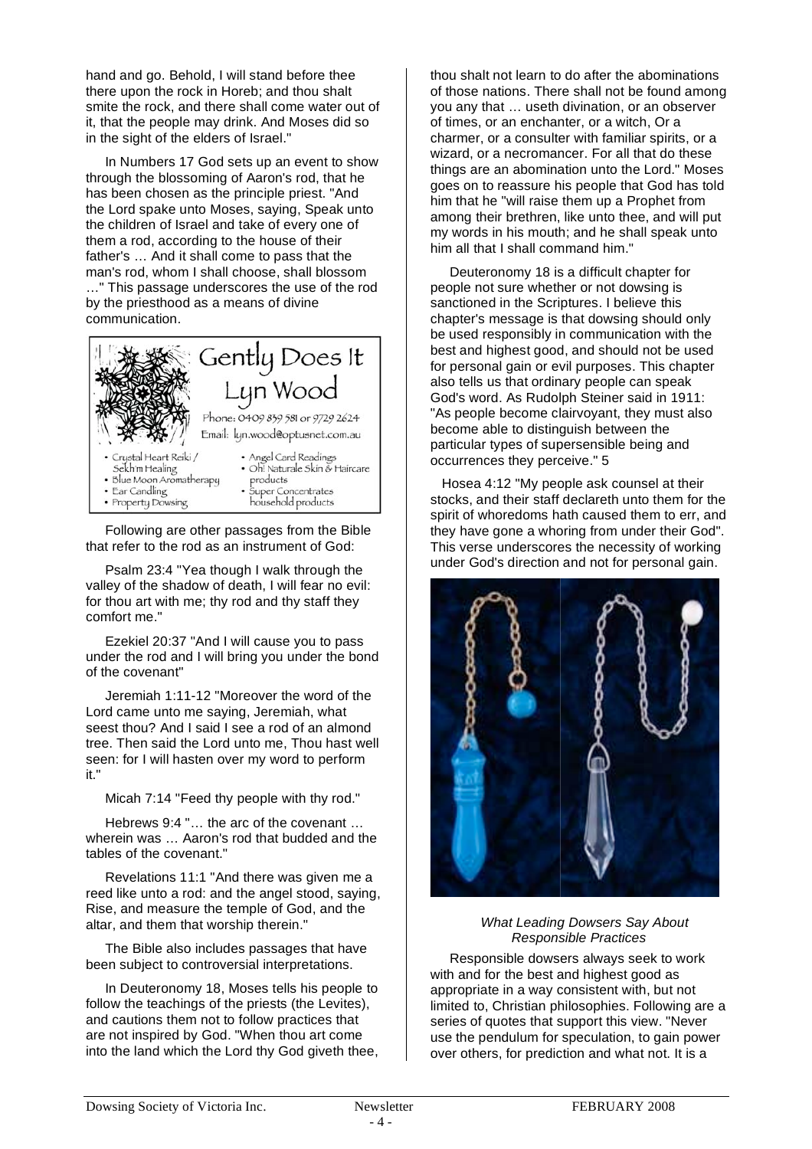hand and go. Behold, I will stand before thee there upon the rock in Horeb; and thou shalt smite the rock, and there shall come water out of it, that the people may drink. And Moses did so in the sight of the elders of Israel."

In Numbers 17 God sets up an event to show through the blossoming of Aaron's rod, that he has been chosen as the principle priest. "And the Lord spake unto Moses, saying, Speak unto the children of Israel and take of every one of them a rod, according to the house of their father's … And it shall come to pass that the man's rod, whom I shall choose, shall blossom …" This passage underscores the use of the rod by the priesthood as a means of divine communication.



Following are other passages from the Bible that refer to the rod as an instrument of God:

Psalm 23:4 "Yea though I walk through the valley of the shadow of death, I will fear no evil: for thou art with me; thy rod and thy staff they comfort me."

Ezekiel 20:37 "And I will cause you to pass under the rod and I will bring you under the bond of the covenant"

Jeremiah 1:11-12 "Moreover the word of the Lord came unto me saying, Jeremiah, what seest thou? And I said I see a rod of an almond tree. Then said the Lord unto me, Thou hast well seen: for I will hasten over my word to perform it."

Micah 7:14 "Feed thy people with thy rod."

Hebrews 9:4 "… the arc of the covenant … wherein was … Aaron's rod that budded and the tables of the covenant."

Revelations 11:1 "And there was given me a reed like unto a rod: and the angel stood, saying, Rise, and measure the temple of God, and the altar, and them that worship therein."

The Bible also includes passages that have been subject to controversial interpretations.

In Deuteronomy 18, Moses tells his people to follow the teachings of the priests (the Levites), and cautions them not to follow practices that are not inspired by God. "When thou art come into the land which the Lord thy God giveth thee,

thou shalt not learn to do after the abominations of those nations. There shall not be found among you any that … useth divination, or an observer of times, or an enchanter, or a witch, Or a charmer, or a consulter with familiar spirits, or a wizard, or a necromancer. For all that do these things are an abomination unto the Lord." Moses goes on to reassure his people that God has told him that he "will raise them up a Prophet from among their brethren, like unto thee, and will put my words in his mouth; and he shall speak unto him all that I shall command him."

Deuteronomy 18 is a difficult chapter for people not sure whether or not dowsing is sanctioned in the Scriptures. I believe this chapter's message is that dowsing should only be used responsibly in communication with the best and highest good, and should not be used for personal gain or evil purposes. This chapter also tells us that ordinary people can speak God's word. As Rudolph Steiner said in 1911: "As people become clairvoyant, they must also become able to distinguish between the particular types of supersensible being and occurrences they perceive." 5

Hosea 4:12 "My people ask counsel at their stocks, and their staff declareth unto them for the spirit of whoredoms hath caused them to err, and they have gone a whoring from under their God". This verse underscores the necessity of working under God's direction and not for personal gain.



#### *What Leading Dowsers Say About Responsible Practices*

Responsible dowsers always seek to work with and for the best and highest good as appropriate in a way consistent with, but not limited to, Christian philosophies. Following are a series of quotes that support this view. "Never use the pendulum for speculation, to gain power over others, for prediction and what not. It is a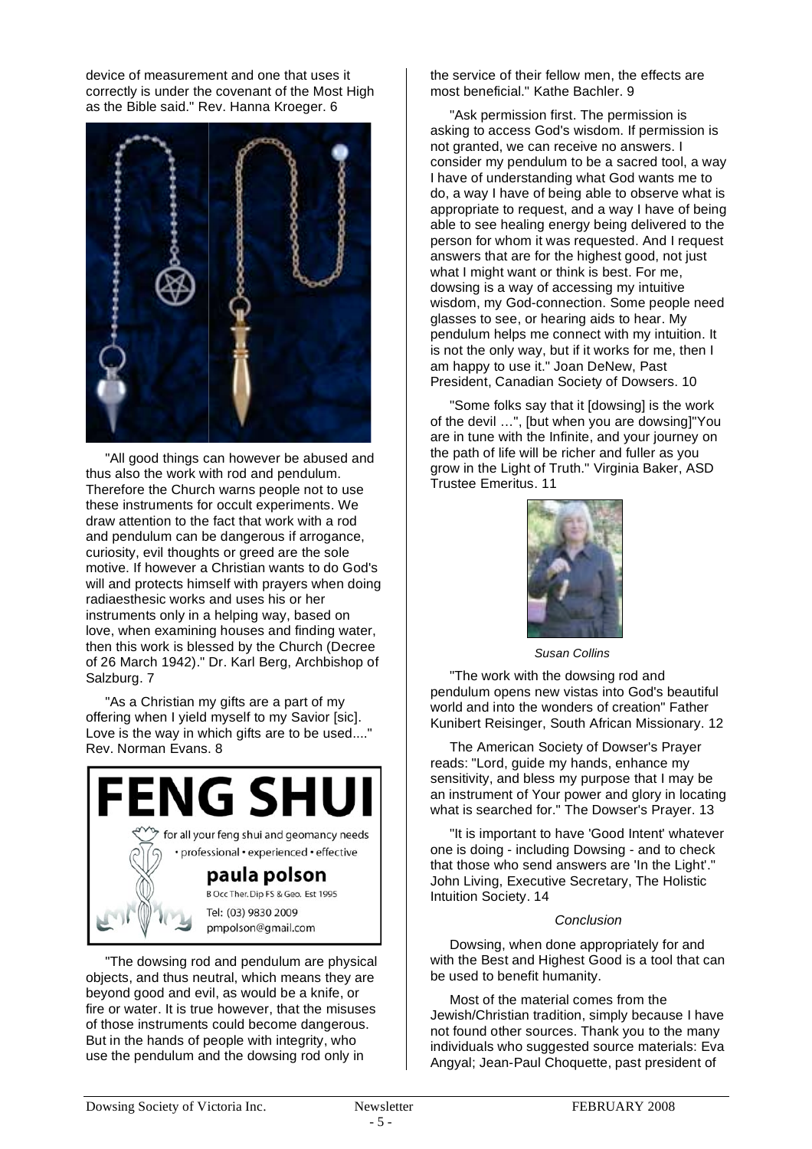device of measurement and one that uses it correctly is under the covenant of the Most High as the Bible said." Rev. Hanna Kroeger. 6



"All good things can however be abused and thus also the work with rod and pendulum. Therefore the Church warns people not to use these instruments for occult experiments. We draw attention to the fact that work with a rod and pendulum can be dangerous if arrogance, curiosity, evil thoughts or greed are the sole motive. If however a Christian wants to do God's will and protects himself with prayers when doing radiaesthesic works and uses his or her instruments only in a helping way, based on love, when examining houses and finding water, then this work is blessed by the Church (Decree of 26 March 1942)." Dr. Karl Berg, Archbishop of Salzburg. 7

"As a Christian my gifts are a part of my offering when I yield myself to my Savior [sic]. Love is the way in which gifts are to be used...." Rev. Norman Evans. 8



"The dowsing rod and pendulum are physical objects, and thus neutral, which means they are beyond good and evil, as would be a knife, or fire or water. It is true however, that the misuses of those instruments could become dangerous. But in the hands of people with integrity, who use the pendulum and the dowsing rod only in

the service of their fellow men, the effects are most beneficial." Kathe Bachler. 9

"Ask permission first. The permission is asking to access God's wisdom. If permission is not granted, we can receive no answers. I consider my pendulum to be a sacred tool, a way I have of understanding what God wants me to do, a way I have of being able to observe what is appropriate to request, and a way I have of being able to see healing energy being delivered to the person for whom it was requested. And I request answers that are for the highest good, not just what I might want or think is best. For me, dowsing is a way of accessing my intuitive wisdom, my God-connection. Some people need glasses to see, or hearing aids to hear. My pendulum helps me connect with my intuition. It is not the only way, but if it works for me, then I am happy to use it." Joan DeNew, Past President, Canadian Society of Dowsers. 10

"Some folks say that it [dowsing] is the work of the devil …", [but when you are dowsing]"You are in tune with the Infinite, and your journey on the path of life will be richer and fuller as you grow in the Light of Truth." Virginia Baker, ASD Trustee Emeritus. 11



 *Susan Collins*

"The work with the dowsing rod and pendulum opens new vistas into God's beautiful world and into the wonders of creation" Father Kunibert Reisinger, South African Missionary. 12

The American Society of Dowser's Prayer reads: "Lord, guide my hands, enhance my sensitivity, and bless my purpose that I may be an instrument of Your power and glory in locating what is searched for." The Dowser's Prayer. 13

"It is important to have 'Good Intent' whatever one is doing - including Dowsing - and to check that those who send answers are 'In the Light'." John Living, Executive Secretary, The Holistic Intuition Society. 14

#### *Conclusion*

Dowsing, when done appropriately for and with the Best and Highest Good is a tool that can be used to benefit humanity.

Most of the material comes from the Jewish/Christian tradition, simply because I have not found other sources. Thank you to the many individuals who suggested source materials: Eva Angyal; Jean-Paul Choquette, past president of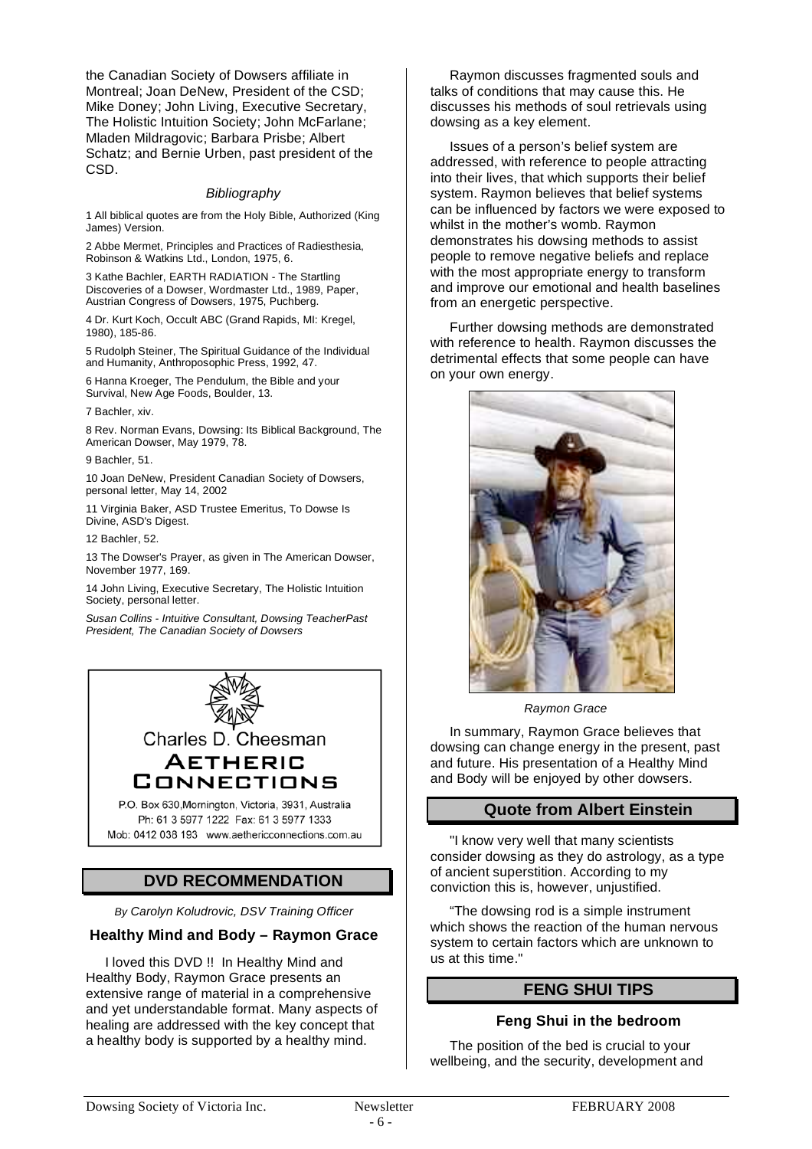the Canadian Society of Dowsers affiliate in Montreal; Joan DeNew, President of the CSD; Mike Doney; John Living, Executive Secretary, The Holistic Intuition Society; John McFarlane; Mladen Mildragovic; Barbara Prisbe; Albert Schatz; and Bernie Urben, past president of the CSD.

#### *Bibliography*

1 All biblical quotes are from the Holy Bible, Authorized (King James) Version.

2 Abbe Mermet, Principles and Practices of Radiesthesia, Robinson & Watkins Ltd., London, 1975, 6.

3 Kathe Bachler, EARTH RADIATION - The Startling Discoveries of a Dowser, Wordmaster Ltd., 1989, Paper, Austrian Congress of Dowsers, 1975, Puchberg.

4 Dr. Kurt Koch, Occult ABC (Grand Rapids, MI: Kregel, 1980), 185-86.

5 Rudolph Steiner, The Spiritual Guidance of the Individual and Humanity, Anthroposophic Press, 1992, 47.

6 Hanna Kroeger, The Pendulum, the Bible and your Survival, New Age Foods, Boulder, 13.

7 Bachler, xiv.

8 Rev. Norman Evans, Dowsing: Its Biblical Background, The American Dowser, May 1979, 78.

9 Bachler, 51.

10 Joan DeNew, President Canadian Society of Dowsers, personal letter, May 14, 2002

11 Virginia Baker, ASD Trustee Emeritus, To Dowse Is Divine, ASD's Digest.

#### 12 Bachler, 52.

13 The Dowser's Prayer, as given in The American Dowser, November 1977, 169.

14 John Living, Executive Secretary, The Holistic Intuition Society, personal letter.

*Susan Collins - Intuitive Consultant, Dowsing TeacherPast President, The Canadian Society of Dowsers*



## **DVD RECOMMENDATION**

*By Carolyn Koludrovic, DSV Training Officer*

#### **Healthy Mind and Body – Raymon Grace**

I loved this DVD !! In Healthy Mind and Healthy Body, Raymon Grace presents an extensive range of material in a comprehensive and yet understandable format. Many aspects of healing are addressed with the key concept that a healthy body is supported by a healthy mind.

Raymon discusses fragmented souls and talks of conditions that may cause this. He discusses his methods of soul retrievals using dowsing as a key element.

Issues of a person's belief system are addressed, with reference to people attracting into their lives, that which supports their belief system. Raymon believes that belief systems can be influenced by factors we were exposed to whilst in the mother's womb. Raymon demonstrates his dowsing methods to assist people to remove negative beliefs and replace with the most appropriate energy to transform and improve our emotional and health baselines from an energetic perspective.

Further dowsing methods are demonstrated with reference to health. Raymon discusses the detrimental effects that some people can have on your own energy.



 *Raymon Grace*

In summary, Raymon Grace believes that dowsing can change energy in the present, past and future. His presentation of a Healthy Mind and Body will be enjoyed by other dowsers.

#### **Quote from Albert Einstein**

"I know very well that many scientists consider dowsing as they do astrology, as a type of ancient superstition. According to my conviction this is, however, unjustified.

"The dowsing rod is a simple instrument which shows the reaction of the human nervous system to certain factors which are unknown to us at this time."

## **FENG SHUI TIPS**

#### **Feng Shui in the bedroom**

The position of the bed is crucial to your wellbeing, and the security, development and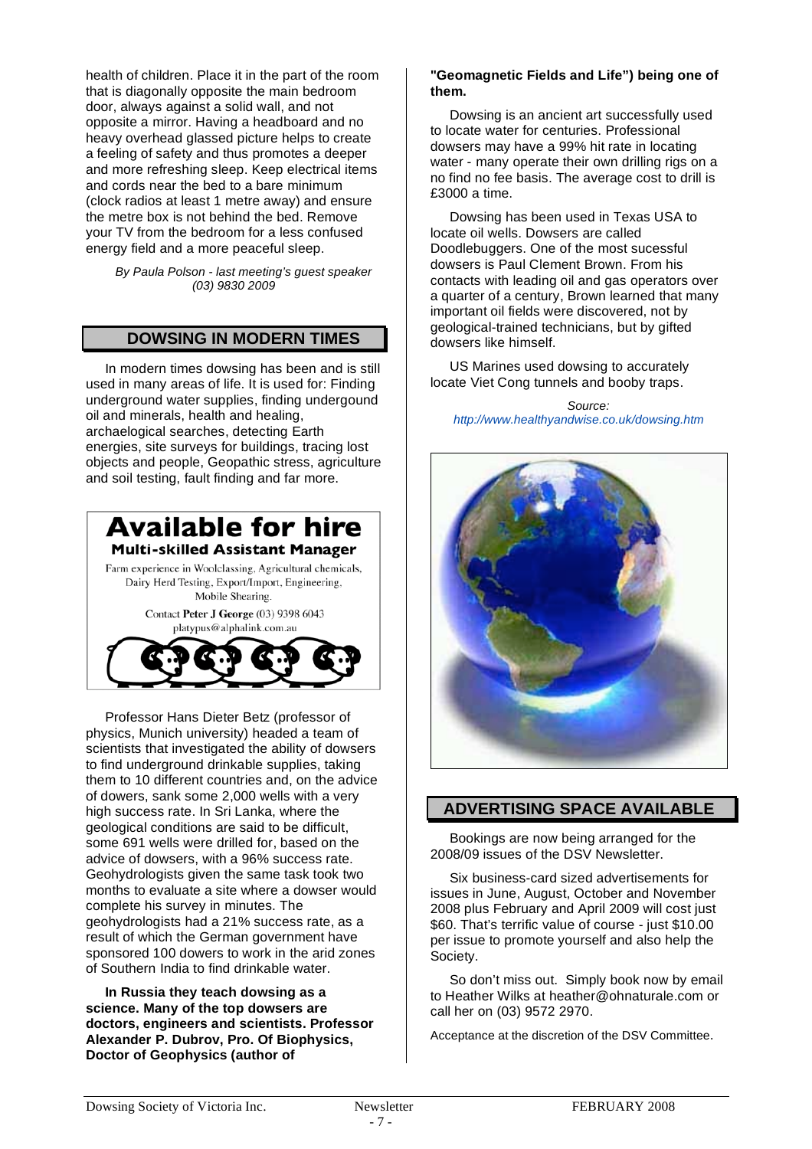health of children. Place it in the part of the room that is diagonally opposite the main bedroom door, always against a solid wall, and not opposite a mirror. Having a headboard and no heavy overhead glassed picture helps to create a feeling of safety and thus promotes a deeper and more refreshing sleep. Keep electrical items and cords near the bed to a bare minimum (clock radios at least 1 metre away) and ensure the metre box is not behind the bed. Remove your TV from the bedroom for a less confused energy field and a more peaceful sleep.

*By Paula Polson - last meeting's guest speaker (03) 9830 2009*

## **DOWSING IN MODERN TIMES**

In modern times dowsing has been and is still used in many areas of life. It is used for: Finding underground water supplies, finding undergound oil and minerals, health and healing, archaelogical searches, detecting Earth energies, site surveys for buildings, tracing lost objects and people, Geopathic stress, agriculture and soil testing, fault finding and far more.





Professor Hans Dieter Betz (professor of physics, Munich university) headed a team of scientists that investigated the ability of dowsers to find underground drinkable supplies, taking them to 10 different countries and, on the advice of dowers, sank some 2,000 wells with a very high success rate. In Sri Lanka, where the geological conditions are said to be difficult, some 691 wells were drilled for, based on the advice of dowsers, with a 96% success rate. Geohydrologists given the same task took two months to evaluate a site where a dowser would complete his survey in minutes. The geohydrologists had a 21% success rate, as a result of which the German government have sponsored 100 dowers to work in the arid zones of Southern India to find drinkable water.

**In Russia they teach dowsing as a science. Many of the top dowsers are doctors, engineers and scientists. Professor Alexander P. Dubrov, Pro. Of Biophysics, Doctor of Geophysics (author of** 

#### **"Geomagnetic Fields and Life") being one of them.**

Dowsing is an ancient art successfully used to locate water for centuries. Professional dowsers may have a 99% hit rate in locating water - many operate their own drilling rigs on a no find no fee basis. The average cost to drill is £3000 a time.

Dowsing has been used in Texas USA to locate oil wells. Dowsers are called Doodlebuggers. One of the most sucessful dowsers is Paul Clement Brown. From his contacts with leading oil and gas operators over a quarter of a century, Brown learned that many important oil fields were discovered, not by geological-trained technicians, but by gifted dowsers like himself.

US Marines used dowsing to accurately locate Viet Cong tunnels and booby traps.

*Source: http://www.healthyandwise.co.uk/dowsing.htm*



## **ADVERTISING SPACE AVAILABLE**

Bookings are now being arranged for the 2008/09 issues of the DSV Newsletter.

Six business-card sized advertisements for issues in June, August, October and November 2008 plus February and April 2009 will cost just \$60. That's terrific value of course - just \$10.00 per issue to promote yourself and also help the Society.

So don't miss out. Simply book now by email to Heather Wilks at heather@ohnaturale.com or call her on (03) 9572 2970.

Acceptance at the discretion of the DSV Committee.